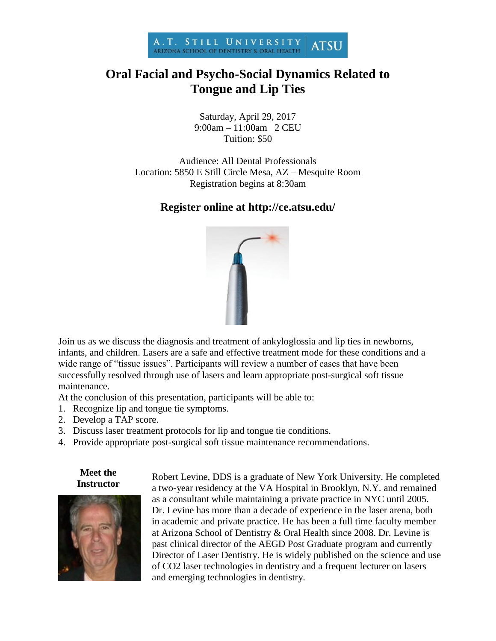

## **Oral Facial and Psycho-Social Dynamics Related to Tongue and Lip Ties**

Saturday, April 29, 2017 9:00am – 11:00am 2 CEU Tuition: \$50

Audience: All Dental Professionals Location: 5850 E Still Circle Mesa, AZ – Mesquite Room Registration begins at 8:30am

## **Register online at http://ce.atsu.edu/**



Join us as we discuss the diagnosis and treatment of ankyloglossia and lip ties in newborns, infants, and children. Lasers are a safe and effective treatment mode for these conditions and a wide range of "tissue issues". Participants will review a number of cases that have been successfully resolved through use of lasers and learn appropriate post-surgical soft tissue maintenance.

At the conclusion of this presentation, participants will be able to:

- 1. Recognize lip and tongue tie symptoms.
- 2. Develop a TAP score.
- 3. Discuss laser treatment protocols for lip and tongue tie conditions.
- 4. Provide appropriate post-surgical soft tissue maintenance recommendations.

**Meet the Instructor**



Robert Levine, DDS is a graduate of New York University. He completed a two-year residency at the VA Hospital in Brooklyn, N.Y. and remained as a consultant while maintaining a private practice in NYC until 2005. Dr. Levine has more than a decade of experience in the laser arena, both in academic and private practice. He has been a full time faculty member at Arizona School of Dentistry & Oral Health since 2008. Dr. Levine is past clinical director of the AEGD Post Graduate program and currently Director of Laser Dentistry. He is widely published on the science and use of CO2 laser technologies in dentistry and a frequent lecturer on lasers and emerging technologies in dentistry.